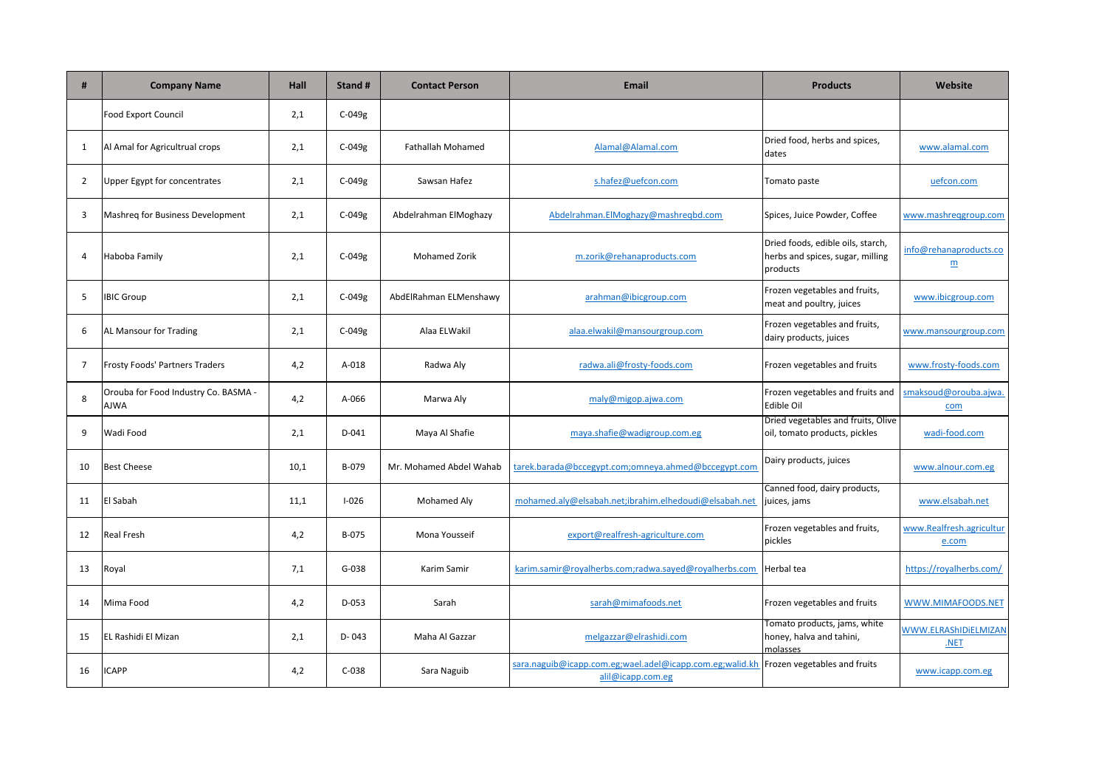| #              | <b>Company Name</b>                          | <b>Hall</b> | Stand #   | <b>Contact Person</b>    | <b>Email</b>                                                                  | <b>Products</b>                                                                   | Website                                   |
|----------------|----------------------------------------------|-------------|-----------|--------------------------|-------------------------------------------------------------------------------|-----------------------------------------------------------------------------------|-------------------------------------------|
|                | Food Export Council                          | 2,1         | $C-049g$  |                          |                                                                               |                                                                                   |                                           |
| 1              | Al Amal for Agricultrual crops               | 2,1         | $C-049g$  | <b>Fathallah Mohamed</b> | Alamal@Alamal.com                                                             | Dried food, herbs and spices,<br>dates                                            | www.alamal.com                            |
| 2              | Upper Egypt for concentrates                 | 2,1         | $C-049g$  | Sawsan Hafez             | s.hafez@uefcon.com                                                            | Tomato paste                                                                      | uefcon.com                                |
| 3              | Mashreg for Business Development             | 2,1         | $C-049g$  | Abdelrahman ElMoghazy    | Abdelrahman.ElMoghazy@mashreqbd.com                                           | Spices, Juice Powder, Coffee                                                      | www.mashreggroup.com                      |
| 4              | Haboba Family                                | 2,1         | C-049g    | <b>Mohamed Zorik</b>     | m.zorik@rehanaproducts.com                                                    | Dried foods, edible oils, starch,<br>herbs and spices, sugar, milling<br>products | info@rehanaproducts.co<br>$\underline{m}$ |
| 5              | <b>IBIC Group</b>                            | 2,1         | $C-049g$  | AbdElRahman ELMenshawy   | arahman@ibicgroup.com                                                         | Frozen vegetables and fruits,<br>meat and poultry, juices                         | www.ibicgroup.com                         |
| 6              | AL Mansour for Trading                       | 2,1         | $C-049g$  | Alaa ELWakil             | alaa.elwakil@mansourgroup.com                                                 | Frozen vegetables and fruits,<br>dairy products, juices                           | www.mansourgroup.com                      |
| $\overline{7}$ | Frosty Foods' Partners Traders               | 4,2         | A-018     | Radwa Aly                | radwa.ali@frosty-foods.com                                                    | Frozen vegetables and fruits                                                      | www.frosty-foods.com                      |
| 8              | Orouba for Food Industry Co. BASMA -<br>AJWA | 4,2         | A-066     | Marwa Aly                | maly@migop.ajwa.com                                                           | Frozen vegetables and fruits and<br><b>Edible Oil</b>                             | smaksoud@orouba.ajwa.<br>com              |
| 9              | Wadi Food                                    | 2,1         | D-041     | Maya Al Shafie           | maya.shafie@wadigroup.com.eg                                                  | Dried vegetables and fruits, Olive<br>oil, tomato products, pickles               | wadi-food.com                             |
| 10             | <b>Best Cheese</b>                           | 10,1        | B-079     | Mr. Mohamed Abdel Wahab  | tarek.barada@bccegypt.com;omneya.ahmed@bccegypt.com                           | Dairy products, juices                                                            | www.alnour.com.eg                         |
| 11             | El Sabah                                     | 11,1        | $I - 026$ | Mohamed Aly              | mohamed.aly@elsabah.net;ibrahim.elhedoudi@elsabah.net                         | Canned food, dairy products,<br>juices, jams                                      | www.elsabah.net                           |
| 12             | <b>Real Fresh</b>                            | 4,2         | B-075     | Mona Yousseif            | export@realfresh-agriculture.com                                              | Frozen vegetables and fruits,<br>pickles                                          | www.Realfresh.agricultur<br>e.com         |
| 13             | Royal                                        | 7,1         | $G-038$   | Karim Samir              | karim.samir@royalherbs.com;radwa.sayed@royalherbs.com                         | Herbal tea                                                                        | https://royalherbs.com/                   |
| 14             | Mima Food                                    | 4,2         | $D-053$   | Sarah                    | sarah@mimafoods.net                                                           | Frozen vegetables and fruits                                                      | WWW.MIMAFOODS.NET                         |
| 15             | EL Rashidi El Mizan                          | 2,1         | D-043     | Maha Al Gazzar           | melgazzar@elrashidi.com                                                       | Tomato products, jams, white<br>honey, halva and tahini,<br>molasses              | WWW.ELRAShIDIELMIZAN<br>.NET              |
| 16             | <b>ICAPP</b>                                 | 4,2         | $C-038$   | Sara Naguib              | sara.naguib@icapp.com.eg;wael.adel@icapp.com.eg;walid.kh<br>alil@icapp.com.eg | Frozen vegetables and fruits                                                      | www.icapp.com.eg                          |